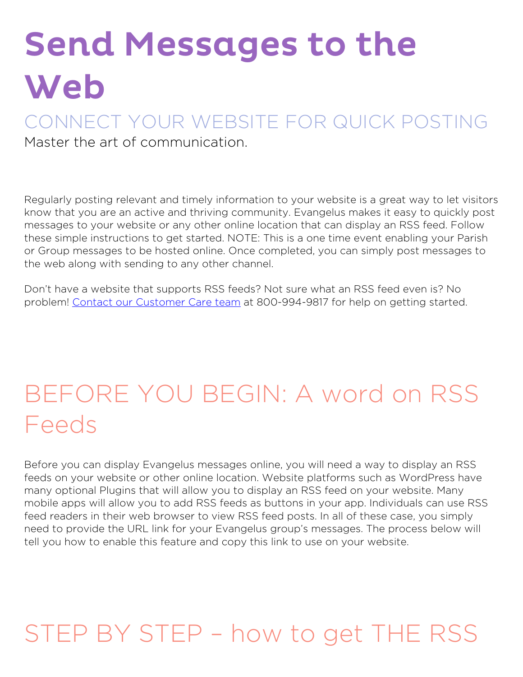# Send Messages to the Web

#### CONNECT YOUR WEBSITE FOR QUICK POSTING Master the art of communication.

Regularly posting relevant and timely information to your website is a great way to let visitors know that you are an active and thriving community. Evangelus makes it easy to quickly post messages to your website or any other online location that can display an RSS feed. Follow these simple instructions to get started. NOTE: This is a one time event enabling your Parish or Group messages to be hosted online. Once completed, you can simply post messages to the web along with sending to any other channel.

Don't have a website that supports RSS feeds? Not sure what an RSS feed even is? No problem! [Contact our Customer Care team](https://diocesan.com/customer-care/) at 800-994-9817 for help on getting started.

### **BEFORE YOU BEGIN: A word on RSS Feeds**

Before you can display Evangelus messages online, you will need a way to display an RSS feeds on your website or other online location. Website platforms such as WordPress have many optional Plugins that will allow you to display an RSS feed on your website. Many mobile apps will allow you to add RSS feeds as buttons in your app. Individuals can use RSS feed readers in their web browser to view RSS feed posts. In all of these case, you simply need to provide the URL link for your Evangelus group's messages. The process below will tell you how to enable this feature and copy this link to use on your website.

## **STEP BY STEP – how to get THE RSS**